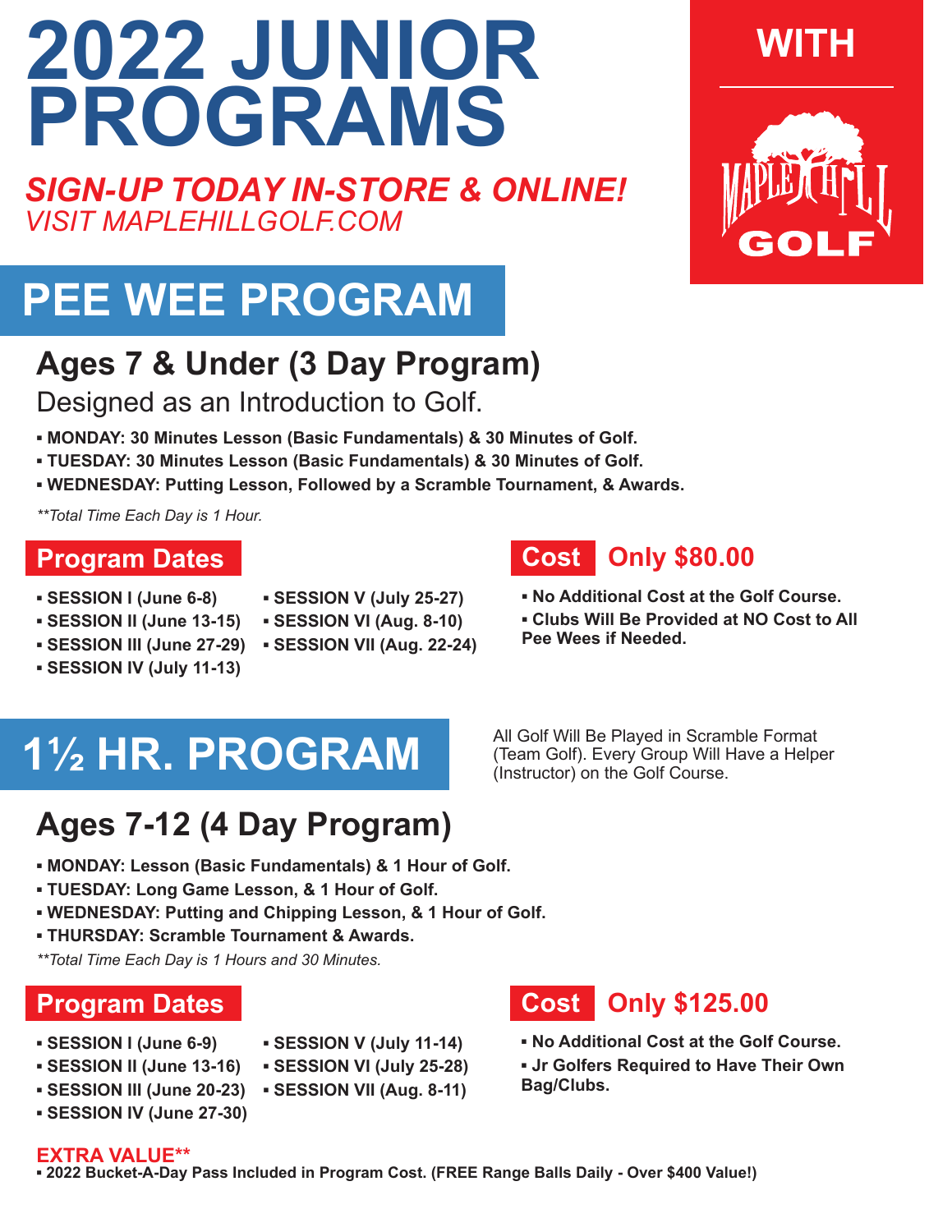# **2022 JUNIOR PROGRAMS**

*SIGN-UP TODAY IN-STORE & ONLINE! VISIT MAPLEHILLGOLF.COM*

## **PEE WEE PROGRAM**

### **Ages 7 & Under (3 Day Program)**

Designed as an Introduction to Golf.

- **▪ MONDAY: 30 Minutes Lesson (Basic Fundamentals) & 30 Minutes of Golf.**
- **TUESDAY: 30 Minutes Lesson (Basic Fundamentals) & 30 Minutes of Golf.**
- **WEDNESDAY: Putting Lesson, Followed by a Scramble Tournament, & Awards.**

*\*\*Total Time Each Day is 1 Hour.*

### **Program Dates**

- **▪ SESSION I (June 6-8)**
- **SESSION V (July 25-27)**
- 
- 
- 
- **SESSION IV (July 11-13)**
- **SESSION II (June 13-15) SESSION VI (Aug. 8-10)**
- **SESSION III (June 27-29) SESSION VII (Aug. 22-24)**
- All Golf Will Be Played in Scramble Format (Team Golf). Every Group Will Have a Helper (Instructor) on the Golf Course.

## **Ages 7-12 (4 Day Program)**

**1½ HR. PROGRAM**

- **▪ MONDAY: Lesson (Basic Fundamentals) & 1 Hour of Golf.**
- **TUESDAY: Long Game Lesson, & 1 Hour of Golf.**
- **WEDNESDAY: Putting and Chipping Lesson, & 1 Hour of Golf.**
- **THURSDAY: Scramble Tournament & Awards.**

*\*\*Total Time Each Day is 1 Hours and 30 Minutes.*

### **Program Dates**

- **SESSION V (July 11-14)**
- **SESSION I (June 6-9) ▪ SESSION II (June 13-16)**
- **SESSION VI (July 25-28)**
- **SESSION VII (Aug. 8-11) SESSION III (June 20-23)**
- **SESSION IV (June 27-30)**

### **Cost Only \$125.00**

- **No Additional Cost at the Golf Course.**
- **Jr Golfers Required to Have Their Own Bag/Clubs.**

#### **EXTRA VALUE\*\***

**▪ 2022 Bucket-A-Day Pass Included in Program Cost. (FREE Range Balls Daily - Over \$400 Value!)**

## **WITH**



- 
- **No Additional Cost at the Golf Course.**
- **Clubs Will Be Provided at NO Cost to All Pee Wees if Needed.**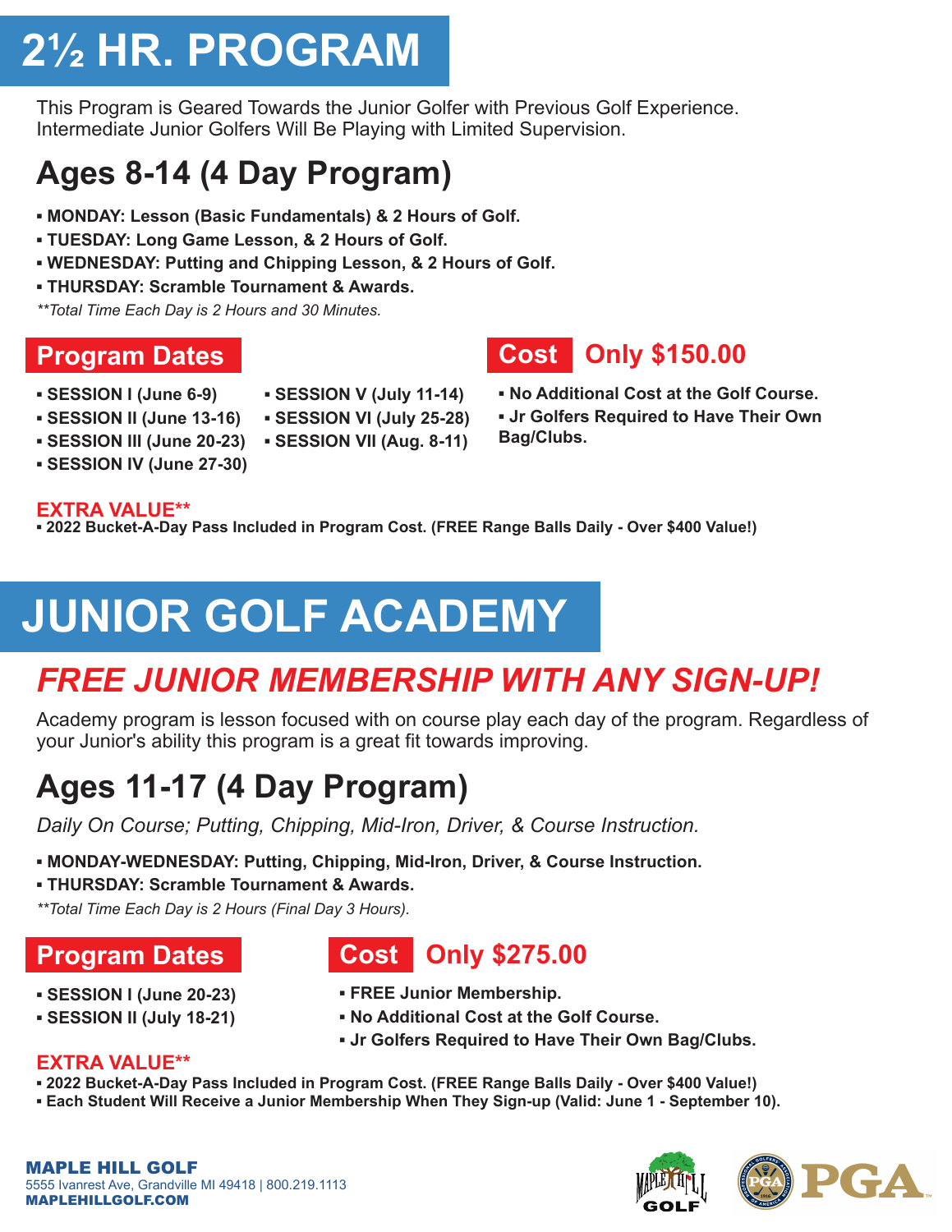## **2½ HR. PROGRAM**

This Program is Geared Towards the Junior Golfer with Previous Golf Experience. Intermediate Junior Golfers Will Be Playing with Limited Supervision.

## **Ages 8-14 (4 Day Program)**

- **▪ MONDAY: Lesson (Basic Fundamentals) & 2 Hours of Golf.**
- **TUESDAY: Long Game Lesson, & 2 Hours of Golf.**
- **WEDNESDAY: Putting and Chipping Lesson, & 2 Hours of Golf.**
- **THURSDAY: Scramble Tournament & Awards.**

*\*\*Total Time Each Day is 2 Hours and 30 Minutes.*

### **Program Dates**

- **SESSION I (June 6-9)**
- **SESSION V (July 11-14)**
- **SESSION II (June 13-16)**
- **SESSION III (June 20-23) SESSION VII (Aug. 8-11) ▪ SESSION VI (July 25-28)**
- **SESSION IV (June 27-30)**

#### **EXTRA VALUE\*\***

**▪ 2022 Bucket-A-Day Pass Included in Program Cost. (FREE Range Balls Daily - Over \$400 Value!)**

## **JUNIOR GOLF ACADEMY**

## *FREE JUNIOR MEMBERSHIP WITH ANY SIGN-UP!*

Academy program is lesson focused with on course play each day of the program. Regardless of your Junior's ability this program is a great fit towards improving.

## **Ages 11-17 (4 Day Program)**

*Daily On Course; Putting, Chipping, Mid-Iron, Driver, & Course Instruction.*

- **MONDAY-WEDNESDAY: Putting, Chipping, Mid-Iron, Driver, & Course Instruction.**
- **THURSDAY: Scramble Tournament & Awards.**

*\*\*Total Time Each Day is 2 Hours (Final Day 3 Hours).*

### **Program Dates**

- **▪ SESSION I (June 20-23)**
- **SESSION II (July 18-21)**
- **Cost Only \$275.00**
- **FREE Junior Membership.**
- **No Additional Cost at the Golf Course.**
- **Jr Golfers Required to Have Their Own Bag/Clubs.**

#### **EXTRA VALUE\*\***

- **2022 Bucket-A-Day Pass Included in Program Cost. (FREE Range Balls Daily Over \$400 Value!)**
- **Each Student Will Receive a Junior Membership When They Sign-up (Valid: June 1 September 10).**

MAPLE HILL GOLF 5555 Ivanrest Ave, Grandville MI 49418 | 800.219.1113 MAPLEHILLGOLF.COM







- **Cost Only \$150.00**
- **No Additional Cost at the Golf Course.**
- **Jr Golfers Required to Have Their Own Bag/Clubs.**